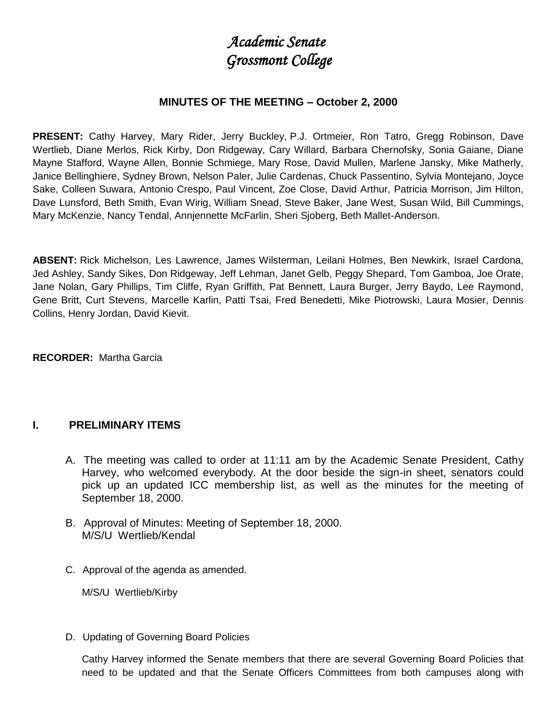# *Academic Senate Grossmont College*

#### **MINUTES OF THE MEETING – October 2, 2000**

**PRESENT:** Cathy Harvey, Mary Rider, Jerry Buckley, P.J. Ortmeier, Ron Tatro, Gregg Robinson, Dave Wertlieb, Diane Merlos, Rick Kirby, Don Ridgeway, Cary Willard, Barbara Chernofsky, Sonia Gaiane, Diane Mayne Stafford, Wayne Allen, Bonnie Schmiege, Mary Rose, David Mullen, Marlene Jansky, Mike Matherly, Janice Bellinghiere, Sydney Brown, Nelson Paler, Julie Cardenas, Chuck Passentino, Sylvia Montejano, Joyce Sake, Colleen Suwara, Antonio Crespo, Paul Vincent, Zoe Close, David Arthur, Patricia Morrison, Jim Hilton, Dave Lunsford, Beth Smith, Evan Wirig, William Snead, Steve Baker, Jane West, Susan Wild, Bill Cummings, Mary McKenzie, Nancy Tendal, Annjennette McFarlin, Sheri Sjoberg, Beth Mallet-Anderson.

**ABSENT:** Rick Michelson, Les Lawrence, James Wilsterman, Leilani Holmes, Ben Newkirk, Israel Cardona, Jed Ashley, Sandy Sikes, Don Ridgeway, Jeff Lehman, Janet Gelb, Peggy Shepard, Tom Gamboa, Joe Orate, Jane Nolan, Gary Phillips, Tim Cliffe, Ryan Griffith, Pat Bennett, Laura Burger, Jerry Baydo, Lee Raymond, Gene Britt, Curt Stevens, Marcelle Karlin, Patti Tsai, Fred Benedetti, Mike Piotrowski, Laura Mosier, Dennis Collins, Henry Jordan, David Kievit.

**RECORDER:** Martha Garcia

#### **I. PRELIMINARY ITEMS**

- A. The meeting was called to order at 11:11 am by the Academic Senate President, Cathy Harvey, who welcomed everybody. At the door beside the sign-in sheet, senators could pick up an updated ICC membership list, as well as the minutes for the meeting of September 18, 2000.
- B. Approval of Minutes: Meeting of September 18, 2000. M/S/U Wertlieb/Kendal
- C. Approval of the agenda as amended.

M/S/U Wertlieb/Kirby

D. Updating of Governing Board Policies

Cathy Harvey informed the Senate members that there are several Governing Board Policies that need to be updated and that the Senate Officers Committees from both campuses along with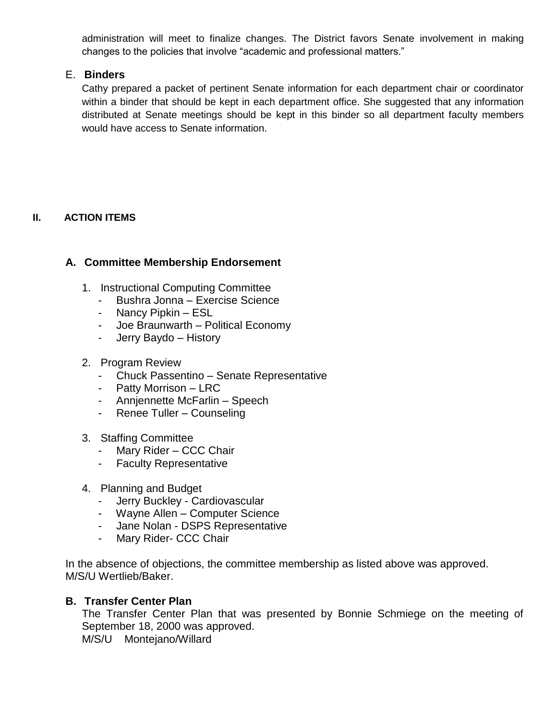administration will meet to finalize changes. The District favors Senate involvement in making changes to the policies that involve "academic and professional matters."

# E. **Binders**

Cathy prepared a packet of pertinent Senate information for each department chair or coordinator within a binder that should be kept in each department office. She suggested that any information distributed at Senate meetings should be kept in this binder so all department faculty members would have access to Senate information.

# **II. ACTION ITEMS**

# **A. Committee Membership Endorsement**

- 1. Instructional Computing Committee
	- Bushra Jonna Exercise Science
	- Nancy Pipkin ESL
	- Joe Braunwarth Political Economy
	- Jerry Baydo History
- 2. Program Review
	- Chuck Passentino Senate Representative
	- Patty Morrison LRC
	- Annjennette McFarlin Speech
	- Renee Tuller Counseling
- 3. Staffing Committee
	- Mary Rider CCC Chair
	- Faculty Representative
- 4. Planning and Budget
	- Jerry Buckley Cardiovascular
	- Wayne Allen Computer Science
	- Jane Nolan DSPS Representative
	- Mary Rider- CCC Chair

In the absence of objections, the committee membership as listed above was approved. M/S/U Wertlieb/Baker.

#### **B. Transfer Center Plan**

The Transfer Center Plan that was presented by Bonnie Schmiege on the meeting of September 18, 2000 was approved. M/S/U Montejano/Willard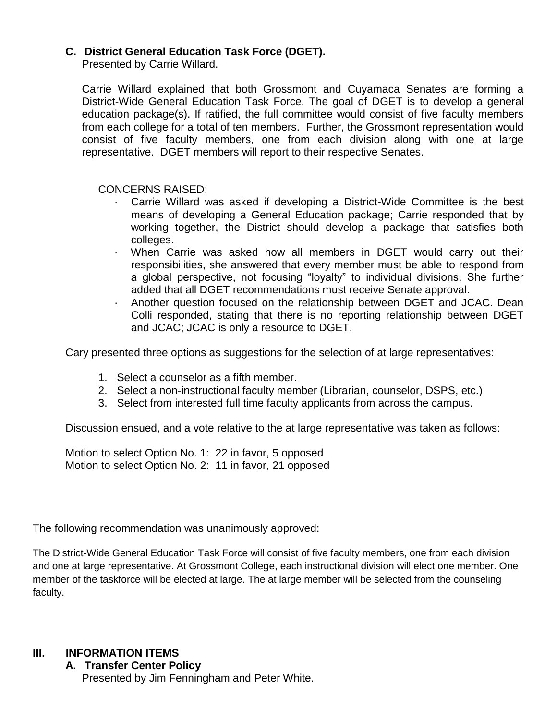# **C. District General Education Task Force (DGET).**

Presented by Carrie Willard.

Carrie Willard explained that both Grossmont and Cuyamaca Senates are forming a District-Wide General Education Task Force. The goal of DGET is to develop a general education package(s). If ratified, the full committee would consist of five faculty members from each college for a total of ten members. Further, the Grossmont representation would consist of five faculty members, one from each division along with one at large representative. DGET members will report to their respective Senates.

CONCERNS RAISED:

- · Carrie Willard was asked if developing a District-Wide Committee is the best means of developing a General Education package; Carrie responded that by working together, the District should develop a package that satisfies both colleges.
- · When Carrie was asked how all members in DGET would carry out their responsibilities, she answered that every member must be able to respond from a global perspective, not focusing "loyalty" to individual divisions. She further added that all DGET recommendations must receive Senate approval.
- · Another question focused on the relationship between DGET and JCAC. Dean Colli responded, stating that there is no reporting relationship between DGET and JCAC; JCAC is only a resource to DGET.

Cary presented three options as suggestions for the selection of at large representatives:

- 1. Select a counselor as a fifth member.
- 2. Select a non-instructional faculty member (Librarian, counselor, DSPS, etc.)
- 3. Select from interested full time faculty applicants from across the campus.

Discussion ensued, and a vote relative to the at large representative was taken as follows:

Motion to select Option No. 1: 22 in favor, 5 opposed Motion to select Option No. 2: 11 in favor, 21 opposed

The following recommendation was unanimously approved:

The District-Wide General Education Task Force will consist of five faculty members, one from each division and one at large representative. At Grossmont College, each instructional division will elect one member. One member of the taskforce will be elected at large. The at large member will be selected from the counseling faculty.

# **III. INFORMATION ITEMS**

**A. Transfer Center Policy** Presented by Jim Fenningham and Peter White.